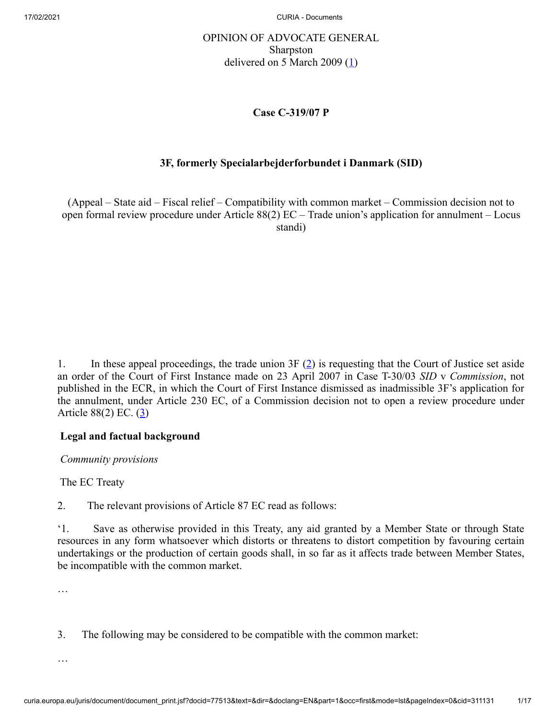# OPINION OF ADVOCATE GENERAL Sharpston delivered on 5 March 2009  $(1)$  $(1)$

### <span id="page-0-0"></span>**Case C‑319/07 P**

# <span id="page-0-1"></span>**3F, formerly Specialarbejderforbundet i Danmark (SID)**

(Appeal – State aid – Fiscal relief – Compatibility with common market – Commission decision not to open formal review procedure under Article 88(2) EC – Trade union's application for annulment – Locus standi)

1. In these appeal proceedings, the trade union  $3F(2)$  $3F(2)$  $3F(2)$  is requesting that the Court of Justice set aside an order of the Court of First Instance made on 23 April 2007 in Case T-30/03 *SID* v *Commission*, not published in the ECR, in which the Court of First Instance dismissed as inadmissible 3F's application for the annulment, under Article 230 EC, of a Commission decision not to open a review procedure under Article  $88(2)$  EC.  $(3)$  $(3)$ 

# <span id="page-0-2"></span>**Legal and factual background**

*Community provisions*

The EC Treaty

2. The relevant provisions of Article 87 EC read as follows:

'1. Save as otherwise provided in this Treaty, any aid granted by a Member State or through State resources in any form whatsoever which distorts or threatens to distort competition by favouring certain undertakings or the production of certain goods shall, in so far as it affects trade between Member States, be incompatible with the common market.

…

3. The following may be considered to be compatible with the common market:

…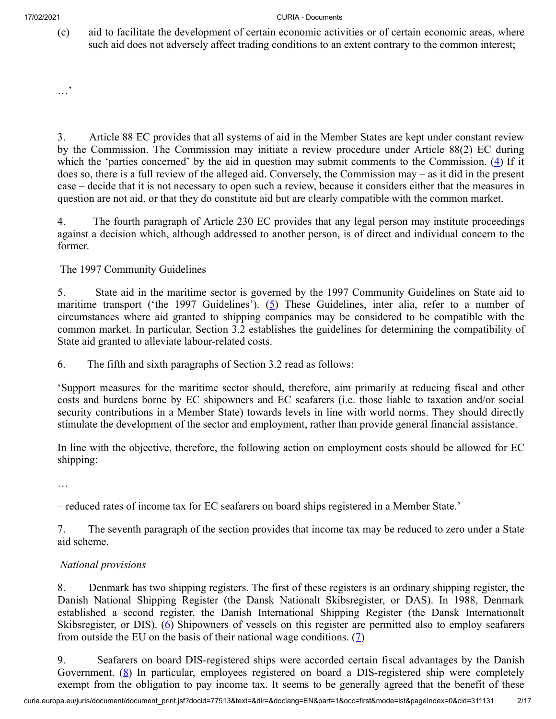(c) aid to facilitate the development of certain economic activities or of certain economic areas, where such aid does not adversely affect trading conditions to an extent contrary to the common interest;

…'

<span id="page-1-0"></span>3. Article 88 EC provides that all systems of aid in the Member States are kept under constant review by the Commission. The Commission may initiate a review procedure under Article 88(2) EC during which the 'parties concerned' by the aid in question may submit comments to the Commission. [\(4](#page-12-3)) If it does so, there is a full review of the alleged aid. Conversely, the Commission may – as it did in the present case – decide that it is not necessary to open such a review, because it considers either that the measures in question are not aid, or that they do constitute aid but are clearly compatible with the common market.

4. The fourth paragraph of Article 230 EC provides that any legal person may institute proceedings against a decision which, although addressed to another person, is of direct and individual concern to the former.

The 1997 Community Guidelines

<span id="page-1-1"></span>5. State aid in the maritime sector is governed by the 1997 Community Guidelines on State aid to maritime transport ('the 1997 Guidelines'). ([5\)](#page-12-4) These Guidelines, inter alia, refer to a number of circumstances where aid granted to shipping companies may be considered to be compatible with the common market. In particular, Section 3.2 establishes the guidelines for determining the compatibility of State aid granted to alleviate labour-related costs.

6. The fifth and sixth paragraphs of Section 3.2 read as follows:

'Support measures for the maritime sector should, therefore, aim primarily at reducing fiscal and other costs and burdens borne by EC shipowners and EC seafarers (i.e. those liable to taxation and/or social security contributions in a Member State) towards levels in line with world norms. They should directly stimulate the development of the sector and employment, rather than provide general financial assistance.

In line with the objective, therefore, the following action on employment costs should be allowed for EC shipping:

…

– reduced rates of income tax for EC seafarers on board ships registered in a Member State.'

7. The seventh paragraph of the section provides that income tax may be reduced to zero under a State aid scheme.

# *National provisions*

<span id="page-1-2"></span>8. Denmark has two shipping registers. The first of these registers is an ordinary shipping register, the Danish National Shipping Register (the Dansk Nationalt Skibsregister, or DAS). In 1988, Denmark established a second register, the Danish International Shipping Register (the Dansk Internationalt Skibsregister, or DIS). [\(6](#page-12-5)) Shipowners of vessels on this register are permitted also to employ seafarers from outside the EU on the basis of their national wage conditions.  $(2)$ 

<span id="page-1-4"></span><span id="page-1-3"></span>9. Seafarers on board DIS-registered ships were accorded certain fiscal advantages by the Danish Government.  $(8)$  $(8)$  In particular, employees registered on board a DIS-registered ship were completely exempt from the obligation to pay income tax. It seems to be generally agreed that the benefit of these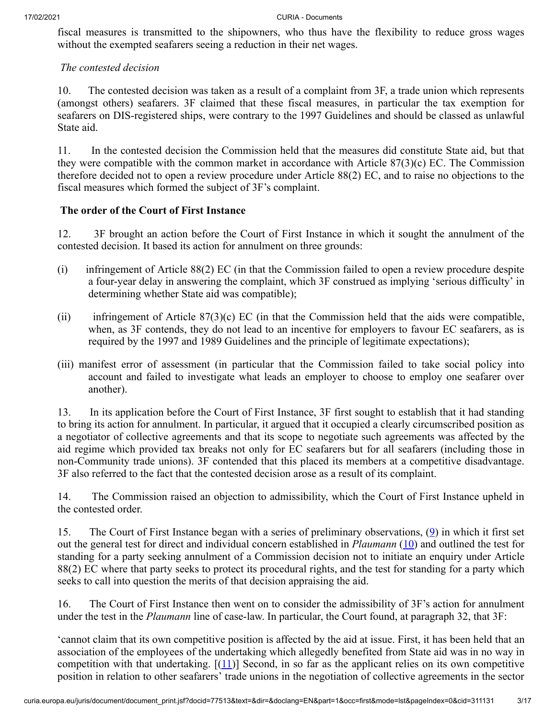fiscal measures is transmitted to the shipowners, who thus have the flexibility to reduce gross wages without the exempted seafarers seeing a reduction in their net wages.

### *The contested decision*

10. The contested decision was taken as a result of a complaint from 3F, a trade union which represents (amongst others) seafarers. 3F claimed that these fiscal measures, in particular the tax exemption for seafarers on DIS-registered ships, were contrary to the 1997 Guidelines and should be classed as unlawful State aid.

11. In the contested decision the Commission held that the measures did constitute State aid, but that they were compatible with the common market in accordance with Article 87(3)(c) EC. The Commission therefore decided not to open a review procedure under Article 88(2) EC, and to raise no objections to the fiscal measures which formed the subject of 3F's complaint.

### **The order of the Court of First Instance**

12. 3F brought an action before the Court of First Instance in which it sought the annulment of the contested decision. It based its action for annulment on three grounds:

- (i) infringement of Article 88(2) EC (in that the Commission failed to open a review procedure despite a four-year delay in answering the complaint, which 3F construed as implying 'serious difficulty' in determining whether State aid was compatible);
- (ii) infringement of Article  $87(3)(c)$  EC (in that the Commission held that the aids were compatible, when, as 3F contends, they do not lead to an incentive for employers to favour EC seafarers, as is required by the 1997 and 1989 Guidelines and the principle of legitimate expectations);
- (iii) manifest error of assessment (in particular that the Commission failed to take social policy into account and failed to investigate what leads an employer to choose to employ one seafarer over another).

13. In its application before the Court of First Instance, 3F first sought to establish that it had standing to bring its action for annulment. In particular, it argued that it occupied a clearly circumscribed position as a negotiator of collective agreements and that its scope to negotiate such agreements was affected by the aid regime which provided tax breaks not only for EC seafarers but for all seafarers (including those in non-Community trade unions). 3F contended that this placed its members at a competitive disadvantage. 3F also referred to the fact that the contested decision arose as a result of its complaint.

14. The Commission raised an objection to admissibility, which the Court of First Instance upheld in the contested order.

<span id="page-2-1"></span><span id="page-2-0"></span>15. The Court of First Instance began with a series of preliminary observations, [\(9](#page-12-8)) in which it first set out the general test for direct and individual concern established in *Plaumann* [\(10](#page-12-9)) and outlined the test for standing for a party seeking annulment of a Commission decision not to initiate an enquiry under Article 88(2) EC where that party seeks to protect its procedural rights, and the test for standing for a party which seeks to call into question the merits of that decision appraising the aid.

16. The Court of First Instance then went on to consider the admissibility of 3F's action for annulment under the test in the *Plaumann* line of case-law. In particular, the Court found, at paragraph 32, that 3F:

<span id="page-2-2"></span>'cannot claim that its own competitive position is affected by the aid at issue. First, it has been held that an association of the employees of the undertaking which allegedly benefited from State aid was in no way in competition with that undertaking.  $[(11)]$  $[(11)]$  $[(11)]$  Second, in so far as the applicant relies on its own competitive position in relation to other seafarers' trade unions in the negotiation of collective agreements in the sector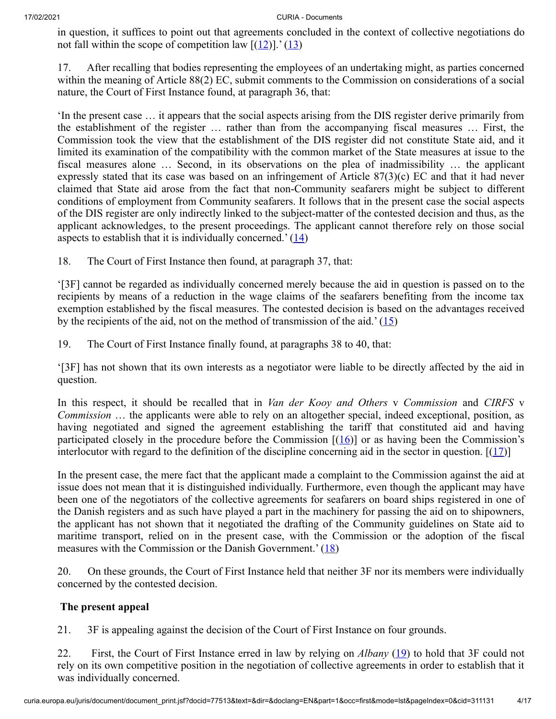<span id="page-3-1"></span><span id="page-3-0"></span>in question, it suffices to point out that agreements concluded in the context of collective negotiations do not fall within the scope of competition law  $[(12)]$  $[(12)]$  $[(12)]$ .'  $(13)$  $(13)$ 

17. After recalling that bodies representing the employees of an undertaking might, as parties concerned within the meaning of Article 88(2) EC, submit comments to the Commission on considerations of a social nature, the Court of First Instance found, at paragraph 36, that:

'In the present case … it appears that the social aspects arising from the DIS register derive primarily from the establishment of the register … rather than from the accompanying fiscal measures … First, the Commission took the view that the establishment of the DIS register did not constitute State aid, and it limited its examination of the compatibility with the common market of the State measures at issue to the fiscal measures alone … Second, in its observations on the plea of inadmissibility … the applicant expressly stated that its case was based on an infringement of Article 87(3)(c) EC and that it had never claimed that State aid arose from the fact that non-Community seafarers might be subject to different conditions of employment from Community seafarers. It follows that in the present case the social aspects of the DIS register are only indirectly linked to the subject-matter of the contested decision and thus, as the applicant acknowledges, to the present proceedings. The applicant cannot therefore rely on those social aspects to establish that it is individually concerned.'  $(14)$  $(14)$ 

<span id="page-3-2"></span>18. The Court of First Instance then found, at paragraph 37, that:

'[3F] cannot be regarded as individually concerned merely because the aid in question is passed on to the recipients by means of a reduction in the wage claims of the seafarers benefiting from the income tax exemption established by the fiscal measures. The contested decision is based on the advantages received by the recipients of the aid, not on the method of transmission of the aid.'  $(15)$  $(15)$ 

<span id="page-3-3"></span>19. The Court of First Instance finally found, at paragraphs 38 to 40, that:

'[3F] has not shown that its own interests as a negotiator were liable to be directly affected by the aid in question.

<span id="page-3-4"></span>In this respect, it should be recalled that in *Van der Kooy and Others* v *Commission* and *CIRFS* v *Commission* … the applicants were able to rely on an altogether special, indeed exceptional, position, as having negotiated and signed the agreement establishing the tariff that constituted aid and having participated closely in the procedure before the Commission  $[(16)]$  $[(16)]$  $[(16)]$  or as having been the Commission's interlocutor with regard to the definition of the discipline concerning aid in the sector in question.  $[(17)]$  $[(17)]$  $[(17)]$ 

<span id="page-3-5"></span>In the present case, the mere fact that the applicant made a complaint to the Commission against the aid at issue does not mean that it is distinguished individually. Furthermore, even though the applicant may have been one of the negotiators of the collective agreements for seafarers on board ships registered in one of the Danish registers and as such have played a part in the machinery for passing the aid on to shipowners, the applicant has not shown that it negotiated the drafting of the Community guidelines on State aid to maritime transport, relied on in the present case, with the Commission or the adoption of the fiscal measures with the Commission or the Danish Government.'  $(18)$  $(18)$ 

<span id="page-3-6"></span>20. On these grounds, the Court of First Instance held that neither 3F nor its members were individually concerned by the contested decision.

### **The present appeal**

21. 3F is appealing against the decision of the Court of First Instance on four grounds.

<span id="page-3-7"></span>22. First, the Court of First Instance erred in law by relying on *Albany* ([19\)](#page-13-8) to hold that 3F could not rely on its own competitive position in the negotiation of collective agreements in order to establish that it was individually concerned.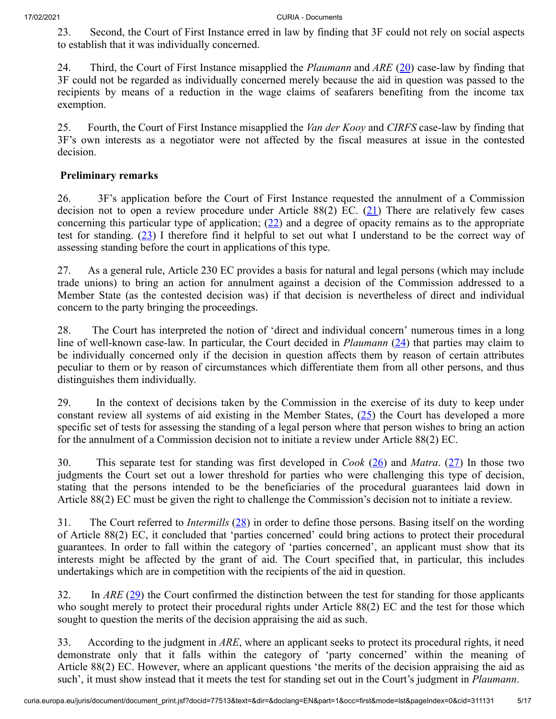23. Second, the Court of First Instance erred in law by finding that 3F could not rely on social aspects to establish that it was individually concerned.

<span id="page-4-0"></span>24. Third, the Court of First Instance misapplied the *Plaumann* and *ARE* [\(20](#page-13-9)) case-law by finding that 3F could not be regarded as individually concerned merely because the aid in question was passed to the recipients by means of a reduction in the wage claims of seafarers benefiting from the income tax exemption.

25. Fourth, the Court of First Instance misapplied the *Van der Kooy* and *CIRFS* case-law by finding that 3F's own interests as a negotiator were not affected by the fiscal measures at issue in the contested decision.

### **Preliminary remarks**

<span id="page-4-3"></span><span id="page-4-2"></span><span id="page-4-1"></span>26. 3F's application before the Court of First Instance requested the annulment of a Commission decision not to open a review procedure under Article 88(2) EC.  $(21)$  $(21)$  There are relatively few cases concerning this particular type of application;  $(22)$  $(22)$  and a degree of opacity remains as to the appropriate test for standing. ([23\)](#page-13-12) I therefore find it helpful to set out what I understand to be the correct way of assessing standing before the court in applications of this type.

27. As a general rule, Article 230 EC provides a basis for natural and legal persons (which may include trade unions) to bring an action for annulment against a decision of the Commission addressed to a Member State (as the contested decision was) if that decision is nevertheless of direct and individual concern to the party bringing the proceedings.

<span id="page-4-4"></span>28. The Court has interpreted the notion of 'direct and individual concern' numerous times in a long line of well-known case-law. In particular, the Court decided in *Plaumann* ([24\)](#page-13-13) that parties may claim to be individually concerned only if the decision in question affects them by reason of certain attributes peculiar to them or by reason of circumstances which differentiate them from all other persons, and thus distinguishes them individually.

<span id="page-4-5"></span>29. In the context of decisions taken by the Commission in the exercise of its duty to keep under constant review all systems of aid existing in the Member States, ([25\)](#page-13-14) the Court has developed a more specific set of tests for assessing the standing of a legal person where that person wishes to bring an action for the annulment of a Commission decision not to initiate a review under Article 88(2) EC.

<span id="page-4-7"></span><span id="page-4-6"></span>30. This separate test for standing was first developed in *Cook* [\(26](#page-14-0)) and *Matra*. [\(27](#page-14-1)) In those two judgments the Court set out a lower threshold for parties who were challenging this type of decision, stating that the persons intended to be the beneficiaries of the procedural guarantees laid down in Article 88(2) EC must be given the right to challenge the Commission's decision not to initiate a review.

<span id="page-4-8"></span>31. The Court referred to *Intermills* [\(28](#page-14-2)) in order to define those persons. Basing itself on the wording of Article 88(2) EC, it concluded that 'parties concerned' could bring actions to protect their procedural guarantees. In order to fall within the category of 'parties concerned', an applicant must show that its interests might be affected by the grant of aid. The Court specified that, in particular, this includes undertakings which are in competition with the recipients of the aid in question.

<span id="page-4-9"></span>32. In *ARE* ([29\)](#page-14-3) the Court confirmed the distinction between the test for standing for those applicants who sought merely to protect their procedural rights under Article 88(2) EC and the test for those which sought to question the merits of the decision appraising the aid as such.

33. According to the judgment in *ARE*, where an applicant seeks to protect its procedural rights, it need demonstrate only that it falls within the category of 'party concerned' within the meaning of Article 88(2) EC. However, where an applicant questions 'the merits of the decision appraising the aid as such', it must show instead that it meets the test for standing set out in the Court's judgment in *Plaumann*.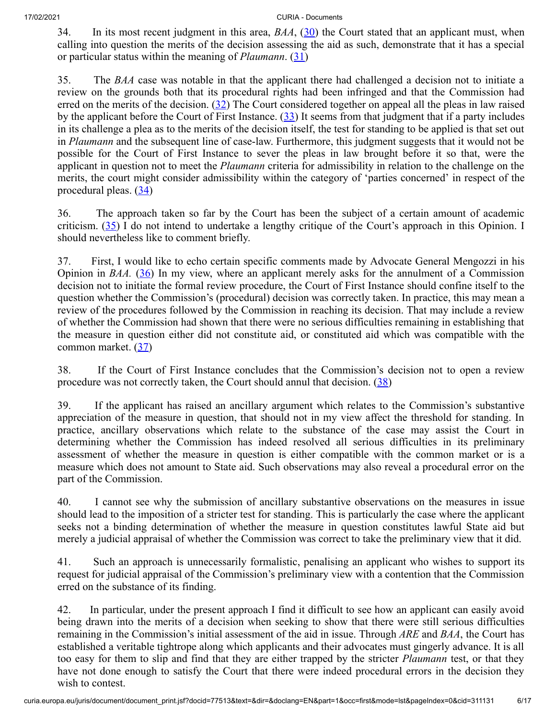<span id="page-5-1"></span><span id="page-5-0"></span>34. In its most recent judgment in this area, *BAA*, ([30\)](#page-14-4) the Court stated that an applicant must, when calling into question the merits of the decision assessing the aid as such, demonstrate that it has a special or particular status within the meaning of *Plaumann*. ([31\)](#page-14-5)

<span id="page-5-3"></span><span id="page-5-2"></span>35. The *BAA* case was notable in that the applicant there had challenged a decision not to initiate a review on the grounds both that its procedural rights had been infringed and that the Commission had erred on the merits of the decision.  $(32)$  The Court considered together on appeal all the pleas in law raised by the applicant before the Court of First Instance. [\(33](#page-14-7)) It seems from that judgment that if a party includes in its challenge a plea as to the merits of the decision itself, the test for standing to be applied is that set out in *Plaumann* and the subsequent line of case-law. Furthermore, this judgment suggests that it would not be possible for the Court of First Instance to sever the pleas in law brought before it so that, were the applicant in question not to meet the *Plaumann* criteria for admissibility in relation to the challenge on the merits, the court might consider admissibility within the category of 'parties concerned' in respect of the procedural pleas.  $(34)$  $(34)$ 

<span id="page-5-5"></span><span id="page-5-4"></span>36. The approach taken so far by the Court has been the subject of a certain amount of academic criticism.  $(35)$  $(35)$  I do not intend to undertake a lengthy critique of the Court's approach in this Opinion. I should nevertheless like to comment briefly.

<span id="page-5-6"></span>37. First, I would like to echo certain specific comments made by Advocate General Mengozzi in his Opinion in *BAA*. [\(36](#page-14-10)) In my view, where an applicant merely asks for the annulment of a Commission decision not to initiate the formal review procedure, the Court of First Instance should confine itself to the question whether the Commission's (procedural) decision was correctly taken. In practice, this may mean a review of the procedures followed by the Commission in reaching its decision. That may include a review of whether the Commission had shown that there were no serious difficulties remaining in establishing that the measure in question either did not constitute aid, or constituted aid which was compatible with the common market. ([37\)](#page-14-11)

<span id="page-5-8"></span><span id="page-5-7"></span>38. If the Court of First Instance concludes that the Commission's decision not to open a review procedure was not correctly taken, the Court should annul that decision.  $(38)$  $(38)$ 

39. If the applicant has raised an ancillary argument which relates to the Commission's substantive appreciation of the measure in question, that should not in my view affect the threshold for standing. In practice, ancillary observations which relate to the substance of the case may assist the Court in determining whether the Commission has indeed resolved all serious difficulties in its preliminary assessment of whether the measure in question is either compatible with the common market or is a measure which does not amount to State aid. Such observations may also reveal a procedural error on the part of the Commission.

40. I cannot see why the submission of ancillary substantive observations on the measures in issue should lead to the imposition of a stricter test for standing. This is particularly the case where the applicant seeks not a binding determination of whether the measure in question constitutes lawful State aid but merely a judicial appraisal of whether the Commission was correct to take the preliminary view that it did.

41. Such an approach is unnecessarily formalistic, penalising an applicant who wishes to support its request for judicial appraisal of the Commission's preliminary view with a contention that the Commission erred on the substance of its finding.

42. In particular, under the present approach I find it difficult to see how an applicant can easily avoid being drawn into the merits of a decision when seeking to show that there were still serious difficulties remaining in the Commission's initial assessment of the aid in issue. Through *ARE* and *BAA*, the Court has established a veritable tightrope along which applicants and their advocates must gingerly advance. It is all too easy for them to slip and find that they are either trapped by the stricter *Plaumann* test, or that they have not done enough to satisfy the Court that there were indeed procedural errors in the decision they wish to contest.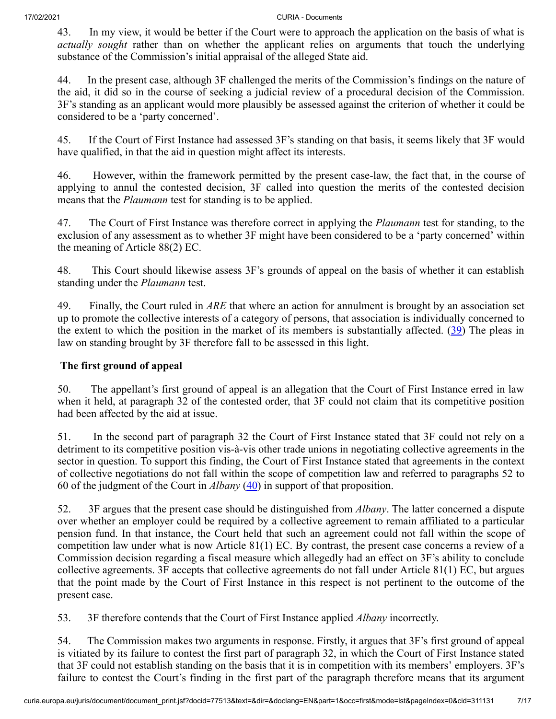43. In my view, it would be better if the Court were to approach the application on the basis of what is *actually sought* rather than on whether the applicant relies on arguments that touch the underlying substance of the Commission's initial appraisal of the alleged State aid.

44. In the present case, although 3F challenged the merits of the Commission's findings on the nature of the aid, it did so in the course of seeking a judicial review of a procedural decision of the Commission. 3F's standing as an applicant would more plausibly be assessed against the criterion of whether it could be considered to be a 'party concerned'.

45. If the Court of First Instance had assessed 3F's standing on that basis, it seems likely that 3F would have qualified, in that the aid in question might affect its interests.

46. However, within the framework permitted by the present case-law, the fact that, in the course of applying to annul the contested decision, 3F called into question the merits of the contested decision means that the *Plaumann* test for standing is to be applied.

47. The Court of First Instance was therefore correct in applying the *Plaumann* test for standing, to the exclusion of any assessment as to whether 3F might have been considered to be a 'party concerned' within the meaning of Article 88(2) EC.

48. This Court should likewise assess 3F's grounds of appeal on the basis of whether it can establish standing under the *Plaumann* test.

49. Finally, the Court ruled in *ARE* that where an action for annulment is brought by an association set up to promote the collective interests of a category of persons, that association is individually concerned to the extent to which the position in the market of its members is substantially affected. ([39\)](#page-14-13) The pleas in law on standing brought by 3F therefore fall to be assessed in this light.

# <span id="page-6-0"></span>**The first ground of appeal**

50. The appellant's first ground of appeal is an allegation that the Court of First Instance erred in law when it held, at paragraph 32 of the contested order, that 3F could not claim that its competitive position had been affected by the aid at issue.

51. In the second part of paragraph 32 the Court of First Instance stated that 3F could not rely on a detriment to its competitive position vis-à-vis other trade unions in negotiating collective agreements in the sector in question. To support this finding, the Court of First Instance stated that agreements in the context of collective negotiations do not fall within the scope of competition law and referred to paragraphs 52 to 60 of the judgment of the Court in *Albany* ([40\)](#page-14-14) in support of that proposition.

<span id="page-6-1"></span>52. 3F argues that the present case should be distinguished from *Albany*. The latter concerned a dispute over whether an employer could be required by a collective agreement to remain affiliated to a particular pension fund. In that instance, the Court held that such an agreement could not fall within the scope of competition law under what is now Article 81(1) EC. By contrast, the present case concerns a review of a Commission decision regarding a fiscal measure which allegedly had an effect on 3F's ability to conclude collective agreements. 3F accepts that collective agreements do not fall under Article 81(1) EC, but argues that the point made by the Court of First Instance in this respect is not pertinent to the outcome of the present case.

53. 3F therefore contends that the Court of First Instance applied *Albany* incorrectly.

54. The Commission makes two arguments in response. Firstly, it argues that 3F's first ground of appeal is vitiated by its failure to contest the first part of paragraph 32, in which the Court of First Instance stated that 3F could not establish standing on the basis that it is in competition with its members' employers. 3F's failure to contest the Court's finding in the first part of the paragraph therefore means that its argument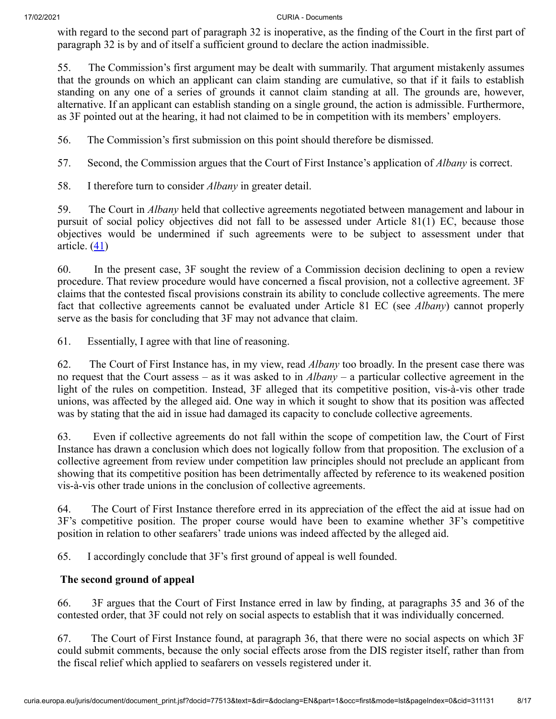with regard to the second part of paragraph 32 is inoperative, as the finding of the Court in the first part of paragraph 32 is by and of itself a sufficient ground to declare the action inadmissible.

55. The Commission's first argument may be dealt with summarily. That argument mistakenly assumes that the grounds on which an applicant can claim standing are cumulative, so that if it fails to establish standing on any one of a series of grounds it cannot claim standing at all. The grounds are, however, alternative. If an applicant can establish standing on a single ground, the action is admissible. Furthermore, as 3F pointed out at the hearing, it had not claimed to be in competition with its members' employers.

56. The Commission's first submission on this point should therefore be dismissed.

57. Second, the Commission argues that the Court of First Instance's application of *Albany* is correct.

58. I therefore turn to consider *Albany* in greater detail.

59. The Court in *Albany* held that collective agreements negotiated between management and labour in pursuit of social policy objectives did not fall to be assessed under Article 81(1) EC, because those objectives would be undermined if such agreements were to be subject to assessment under that article.  $(41)$  $(41)$ 

<span id="page-7-0"></span>60. In the present case, 3F sought the review of a Commission decision declining to open a review procedure. That review procedure would have concerned a fiscal provision, not a collective agreement. 3F claims that the contested fiscal provisions constrain its ability to conclude collective agreements. The mere fact that collective agreements cannot be evaluated under Article 81 EC (see *Albany*) cannot properly serve as the basis for concluding that 3F may not advance that claim.

61. Essentially, I agree with that line of reasoning.

62. The Court of First Instance has, in my view, read *Albany* too broadly. In the present case there was no request that the Court assess – as it was asked to in *Albany* – a particular collective agreement in the light of the rules on competition. Instead, 3F alleged that its competitive position, vis-à-vis other trade unions, was affected by the alleged aid. One way in which it sought to show that its position was affected was by stating that the aid in issue had damaged its capacity to conclude collective agreements.

63. Even if collective agreements do not fall within the scope of competition law, the Court of First Instance has drawn a conclusion which does not logically follow from that proposition. The exclusion of a collective agreement from review under competition law principles should not preclude an applicant from showing that its competitive position has been detrimentally affected by reference to its weakened position vis-à-vis other trade unions in the conclusion of collective agreements.

64. The Court of First Instance therefore erred in its appreciation of the effect the aid at issue had on 3F's competitive position. The proper course would have been to examine whether 3F's competitive position in relation to other seafarers' trade unions was indeed affected by the alleged aid.

65. I accordingly conclude that 3F's first ground of appeal is well founded.

# **The second ground of appeal**

66. 3F argues that the Court of First Instance erred in law by finding, at paragraphs 35 and 36 of the contested order, that 3F could not rely on social aspects to establish that it was individually concerned.

67. The Court of First Instance found, at paragraph 36, that there were no social aspects on which 3F could submit comments, because the only social effects arose from the DIS register itself, rather than from the fiscal relief which applied to seafarers on vessels registered under it.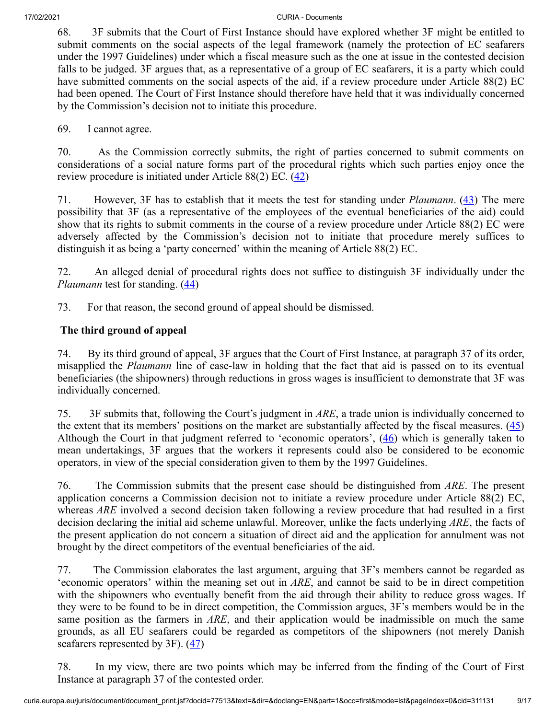68. 3F submits that the Court of First Instance should have explored whether 3F might be entitled to submit comments on the social aspects of the legal framework (namely the protection of EC seafarers under the 1997 Guidelines) under which a fiscal measure such as the one at issue in the contested decision falls to be judged. 3F argues that, as a representative of a group of EC seafarers, it is a party which could have submitted comments on the social aspects of the aid, if a review procedure under Article 88(2) EC had been opened. The Court of First Instance should therefore have held that it was individually concerned by the Commission's decision not to initiate this procedure.

69. I cannot agree.

70. As the Commission correctly submits, the right of parties concerned to submit comments on considerations of a social nature forms part of the procedural rights which such parties enjoy once the review procedure is initiated under Article  $88(2)$  EC.  $(42)$  $(42)$ 

<span id="page-8-1"></span><span id="page-8-0"></span>71. However, 3F has to establish that it meets the test for standing under *Plaumann*. [\(43](#page-15-1)) The mere possibility that 3F (as a representative of the employees of the eventual beneficiaries of the aid) could show that its rights to submit comments in the course of a review procedure under Article 88(2) EC were adversely affected by the Commission's decision not to initiate that procedure merely suffices to distinguish it as being a 'party concerned' within the meaning of Article 88(2) EC.

<span id="page-8-2"></span>72. An alleged denial of procedural rights does not suffice to distinguish 3F individually under the *Plaumann* test for standing. ([44\)](#page-15-2)

73. For that reason, the second ground of appeal should be dismissed.

# **The third ground of appeal**

74. By its third ground of appeal, 3F argues that the Court of First Instance, at paragraph 37 of its order, misapplied the *Plaumann* line of case-law in holding that the fact that aid is passed on to its eventual beneficiaries (the shipowners) through reductions in gross wages is insufficient to demonstrate that 3F was individually concerned.

<span id="page-8-4"></span><span id="page-8-3"></span>75. 3F submits that, following the Court's judgment in *ARE*, a trade union is individually concerned to the extent that its members' positions on the market are substantially affected by the fiscal measures.  $(45)$  $(45)$ Although the Court in that judgment referred to 'economic operators',  $(46)$  $(46)$  which is generally taken to mean undertakings, 3F argues that the workers it represents could also be considered to be economic operators, in view of the special consideration given to them by the 1997 Guidelines.

76. The Commission submits that the present case should be distinguished from *ARE*. The present application concerns a Commission decision not to initiate a review procedure under Article 88(2) EC, whereas *ARE* involved a second decision taken following a review procedure that had resulted in a first decision declaring the initial aid scheme unlawful. Moreover, unlike the facts underlying *ARE*, the facts of the present application do not concern a situation of direct aid and the application for annulment was not brought by the direct competitors of the eventual beneficiaries of the aid.

77. The Commission elaborates the last argument, arguing that 3F's members cannot be regarded as 'economic operators' within the meaning set out in *ARE*, and cannot be said to be in direct competition with the shipowners who eventually benefit from the aid through their ability to reduce gross wages. If they were to be found to be in direct competition, the Commission argues, 3F's members would be in the same position as the farmers in *ARE*, and their application would be inadmissible on much the same grounds, as all EU seafarers could be regarded as competitors of the shipowners (not merely Danish seafarers represented by 3F).  $(47)$  $(47)$ 

<span id="page-8-5"></span>78. In my view, there are two points which may be inferred from the finding of the Court of First Instance at paragraph 37 of the contested order.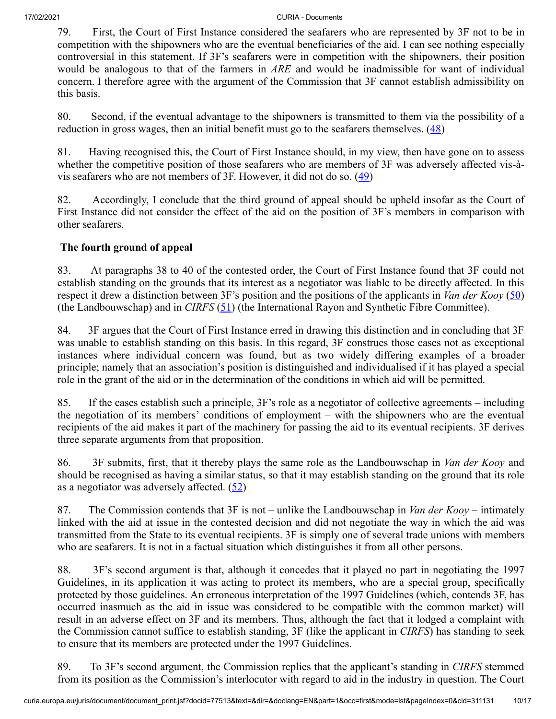79. First, the Court of First Instance considered the seafarers who are represented by 3F not to be in competition with the shipowners who are the eventual beneficiaries of the aid. I can see nothing especially controversial in this statement. If 3F's seafarers were in competition with the shipowners, their position would be analogous to that of the farmers in *ARE* and would be inadmissible for want of individual concern. I therefore agree with the argument of the Commission that 3F cannot establish admissibility on this basis.

<span id="page-9-0"></span>80. Second, if the eventual advantage to the shipowners is transmitted to them via the possibility of a reduction in gross wages, then an initial benefit must go to the seafarers themselves.  $(48)$  $(48)$ 

<span id="page-9-1"></span>81. Having recognised this, the Court of First Instance should, in my view, then have gone on to assess whether the competitive position of those seafarers who are members of 3F was adversely affected vis-àvis seafarers who are not members of  $3F$ . However, it did not do so.  $(49)$  $(49)$ 

82. Accordingly, I conclude that the third ground of appeal should be upheld insofar as the Court of First Instance did not consider the effect of the aid on the position of 3F's members in comparison with other seafarers.

# <span id="page-9-2"></span>**The fourth ground of appeal**

83. At paragraphs 38 to 40 of the contested order, the Court of First Instance found that 3F could not establish standing on the grounds that its interest as a negotiator was liable to be directly affected. In this respect it drew a distinction between 3F's position and the positions of the applicants in *Van der Kooy* ([50\)](#page-15-8) (the Landbouwschap) and in *CIRFS* ([51\)](#page-15-9) (the International Rayon and Synthetic Fibre Committee).

<span id="page-9-3"></span>84. 3F argues that the Court of First Instance erred in drawing this distinction and in concluding that 3F was unable to establish standing on this basis. In this regard, 3F construes those cases not as exceptional instances where individual concern was found, but as two widely differing examples of a broader principle; namely that an association's position is distinguished and individualised if it has played a special role in the grant of the aid or in the determination of the conditions in which aid will be permitted.

85. If the cases establish such a principle, 3F's role as a negotiator of collective agreements – including the negotiation of its members' conditions of employment – with the shipowners who are the eventual recipients of the aid makes it part of the machinery for passing the aid to its eventual recipients. 3F derives three separate arguments from that proposition.

86. 3F submits, first, that it thereby plays the same role as the Landbouwschap in *Van der Kooy* and should be recognised as having a similar status, so that it may establish standing on the ground that its role as a negotiator was adversely affected.  $(52)$  $(52)$ 

<span id="page-9-4"></span>87. The Commission contends that 3F is not – unlike the Landbouwschap in *Van der Kooy* – intimately linked with the aid at issue in the contested decision and did not negotiate the way in which the aid was transmitted from the State to its eventual recipients. 3F is simply one of several trade unions with members who are seafarers. It is not in a factual situation which distinguishes it from all other persons.

88. 3F's second argument is that, although it concedes that it played no part in negotiating the 1997 Guidelines, in its application it was acting to protect its members, who are a special group, specifically protected by those guidelines. An erroneous interpretation of the 1997 Guidelines (which, contends 3F, has occurred inasmuch as the aid in issue was considered to be compatible with the common market) will result in an adverse effect on 3F and its members. Thus, although the fact that it lodged a complaint with the Commission cannot suffice to establish standing, 3F (like the applicant in *CIRFS*) has standing to seek to ensure that its members are protected under the 1997 Guidelines.

89. To 3F's second argument, the Commission replies that the applicant's standing in *CIRFS* stemmed from its position as the Commission's interlocutor with regard to aid in the industry in question. The Court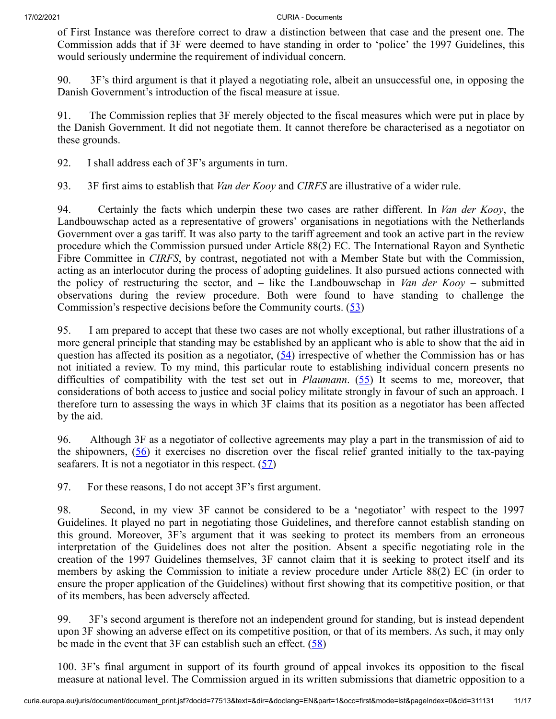of First Instance was therefore correct to draw a distinction between that case and the present one. The Commission adds that if 3F were deemed to have standing in order to 'police' the 1997 Guidelines, this would seriously undermine the requirement of individual concern.

90. 3F's third argument is that it played a negotiating role, albeit an unsuccessful one, in opposing the Danish Government's introduction of the fiscal measure at issue.

91. The Commission replies that 3F merely objected to the fiscal measures which were put in place by the Danish Government. It did not negotiate them. It cannot therefore be characterised as a negotiator on these grounds.

92. I shall address each of 3F's arguments in turn.

93. 3F first aims to establish that *Van der Kooy* and *CIRFS* are illustrative of a wider rule.

94. Certainly the facts which underpin these two cases are rather different. In *Van der Kooy*, the Landbouwschap acted as a representative of growers' organisations in negotiations with the Netherlands Government over a gas tariff. It was also party to the tariff agreement and took an active part in the review procedure which the Commission pursued under Article 88(2) EC. The International Rayon and Synthetic Fibre Committee in *CIRFS*, by contrast, negotiated not with a Member State but with the Commission, acting as an interlocutor during the process of adopting guidelines. It also pursued actions connected with the policy of restructuring the sector, and – like the Landbouwschap in *Van der Kooy* – submitted observations during the review procedure. Both were found to have standing to challenge the Commission's respective decisions before the Community courts. [\(53](#page-15-11))

<span id="page-10-2"></span><span id="page-10-1"></span><span id="page-10-0"></span>95. I am prepared to accept that these two cases are not wholly exceptional, but rather illustrations of a more general principle that standing may be established by an applicant who is able to show that the aid in question has affected its position as a negotiator,  $(54)$  $(54)$  irrespective of whether the Commission has or has not initiated a review. To my mind, this particular route to establishing individual concern presents no difficulties of compatibility with the test set out in *Plaumann*. [\(55](#page-15-13)) It seems to me, moreover, that considerations of both access to justice and social policy militate strongly in favour of such an approach. I therefore turn to assessing the ways in which 3F claims that its position as a negotiator has been affected by the aid.

<span id="page-10-3"></span>96. Although 3F as a negotiator of collective agreements may play a part in the transmission of aid to the shipowners,  $(56)$  $(56)$  it exercises no discretion over the fiscal relief granted initially to the tax-paying seafarers. It is not a negotiator in this respect.  $(57)$  $(57)$ 

<span id="page-10-4"></span>97. For these reasons, I do not accept 3F's first argument.

98. Second, in my view 3F cannot be considered to be a 'negotiator' with respect to the 1997 Guidelines. It played no part in negotiating those Guidelines, and therefore cannot establish standing on this ground. Moreover, 3F's argument that it was seeking to protect its members from an erroneous interpretation of the Guidelines does not alter the position. Absent a specific negotiating role in the creation of the 1997 Guidelines themselves, 3F cannot claim that it is seeking to protect itself and its members by asking the Commission to initiate a review procedure under Article 88(2) EC (in order to ensure the proper application of the Guidelines) without first showing that its competitive position, or that of its members, has been adversely affected.

<span id="page-10-5"></span>99. 3F's second argument is therefore not an independent ground for standing, but is instead dependent upon 3F showing an adverse effect on its competitive position, or that of its members. As such, it may only be made in the event that  $3F$  can establish such an effect.  $(58)$  $(58)$ 

100. 3F's final argument in support of its fourth ground of appeal invokes its opposition to the fiscal measure at national level. The Commission argued in its written submissions that diametric opposition to a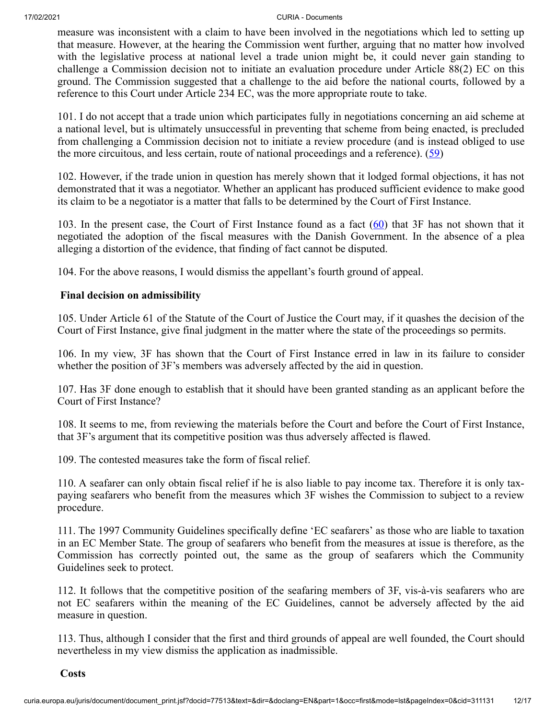measure was inconsistent with a claim to have been involved in the negotiations which led to setting up that measure. However, at the hearing the Commission went further, arguing that no matter how involved with the legislative process at national level a trade union might be, it could never gain standing to challenge a Commission decision not to initiate an evaluation procedure under Article 88(2) EC on this ground. The Commission suggested that a challenge to the aid before the national courts, followed by a reference to this Court under Article 234 EC, was the more appropriate route to take.

101. I do not accept that a trade union which participates fully in negotiations concerning an aid scheme at a national level, but is ultimately unsuccessful in preventing that scheme from being enacted, is precluded from challenging a Commission decision not to initiate a review procedure (and is instead obliged to use the more circuitous, and less certain, route of national proceedings and a reference).  $(59)$  $(59)$ 

<span id="page-11-0"></span>102. However, if the trade union in question has merely shown that it lodged formal objections, it has not demonstrated that it was a negotiator. Whether an applicant has produced sufficient evidence to make good its claim to be a negotiator is a matter that falls to be determined by the Court of First Instance.

<span id="page-11-1"></span>103. In the present case, the Court of First Instance found as a fact  $(60)$  $(60)$  that 3F has not shown that it negotiated the adoption of the fiscal measures with the Danish Government. In the absence of a plea alleging a distortion of the evidence, that finding of fact cannot be disputed.

104. For the above reasons, I would dismiss the appellant's fourth ground of appeal.

### **Final decision on admissibility**

105. Under Article 61 of the Statute of the Court of Justice the Court may, if it quashes the decision of the Court of First Instance, give final judgment in the matter where the state of the proceedings so permits.

106. In my view, 3F has shown that the Court of First Instance erred in law in its failure to consider whether the position of 3F's members was adversely affected by the aid in question.

107. Has 3F done enough to establish that it should have been granted standing as an applicant before the Court of First Instance?

108. It seems to me, from reviewing the materials before the Court and before the Court of First Instance, that 3F's argument that its competitive position was thus adversely affected is flawed.

109. The contested measures take the form of fiscal relief.

110. A seafarer can only obtain fiscal relief if he is also liable to pay income tax. Therefore it is only taxpaying seafarers who benefit from the measures which 3F wishes the Commission to subject to a review procedure.

111. The 1997 Community Guidelines specifically define 'EC seafarers' as those who are liable to taxation in an EC Member State. The group of seafarers who benefit from the measures at issue is therefore, as the Commission has correctly pointed out, the same as the group of seafarers which the Community Guidelines seek to protect.

112. It follows that the competitive position of the seafaring members of 3F, vis-à-vis seafarers who are not EC seafarers within the meaning of the EC Guidelines, cannot be adversely affected by the aid measure in question.

113. Thus, although I consider that the first and third grounds of appeal are well founded, the Court should nevertheless in my view dismiss the application as inadmissible.

**Costs**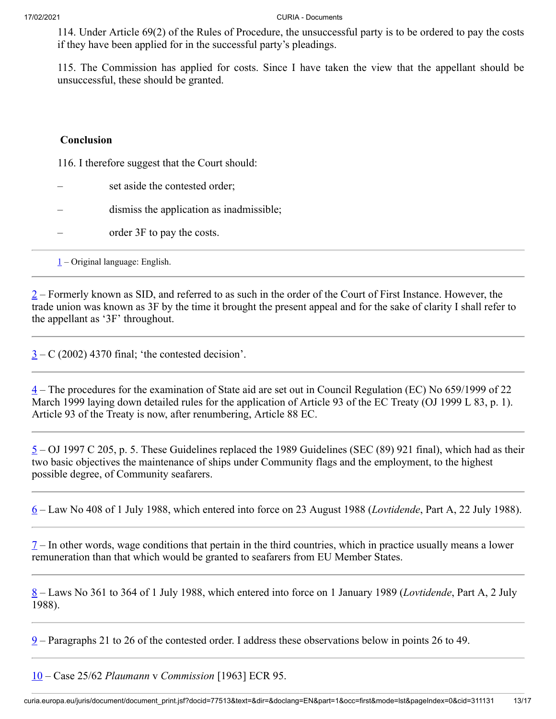114. Under Article 69(2) of the Rules of Procedure, the unsuccessful party is to be ordered to pay the costs if they have been applied for in the successful party's pleadings.

115. The Commission has applied for costs. Since I have taken the view that the appellant should be unsuccessful, these should be granted.

### **Conclusion**

116. I therefore suggest that the Court should:

- set aside the contested order;
- dismiss the application as inadmissible;
- order 3F to pay the costs.

<span id="page-12-0"></span> $1$  – Original language: English.

<span id="page-12-1"></span> $2$  – Formerly known as SID, and referred to as such in the order of the Court of First Instance. However, the trade union was known as 3F by the time it brought the present appeal and for the sake of clarity I shall refer to the appellant as '3F' throughout.

<span id="page-12-2"></span> $3 - C$  $3 - C$  (2002) 4370 final; 'the contested decision'.

<span id="page-12-3"></span> $\frac{4}{1}$  $\frac{4}{1}$  $\frac{4}{1}$  – The procedures for the examination of State aid are set out in Council Regulation (EC) No 659/1999 of 22 March 1999 laying down detailed rules for the application of Article 93 of the EC Treaty (OJ 1999 L 83, p. 1). Article 93 of the Treaty is now, after renumbering, Article 88 EC.

<span id="page-12-4"></span> $5 - OJ$  $5 - OJ$  1997 C 205, p. 5. These Guidelines replaced the 1989 Guidelines (SEC (89) 921 final), which had as their two basic objectives the maintenance of ships under Community flags and the employment, to the highest possible degree, of Community seafarers.

<span id="page-12-5"></span>[6](#page-1-2) – Law No 408 of 1 July 1988, which entered into force on 23 August 1988 (*Lovtidende*, Part A, 22 July 1988).

<span id="page-12-6"></span> $7 7 -$  In other words, wage conditions that pertain in the third countries, which in practice usually means a lower remuneration than that which would be granted to seafarers from EU Member States.

<span id="page-12-7"></span>[8](#page-1-4) – Laws No 361 to 364 of 1 July 1988, which entered into force on 1 January 1989 (*Lovtidende*, Part A, 2 July 1988).

<span id="page-12-8"></span> $9$  – Paragraphs 21 to 26 of the contested order. I address these observations below in points 26 to 49.

<span id="page-12-9"></span>[10](#page-2-1) – Case 25/62 *Plaumann* v *Commission* [1963] ECR 95.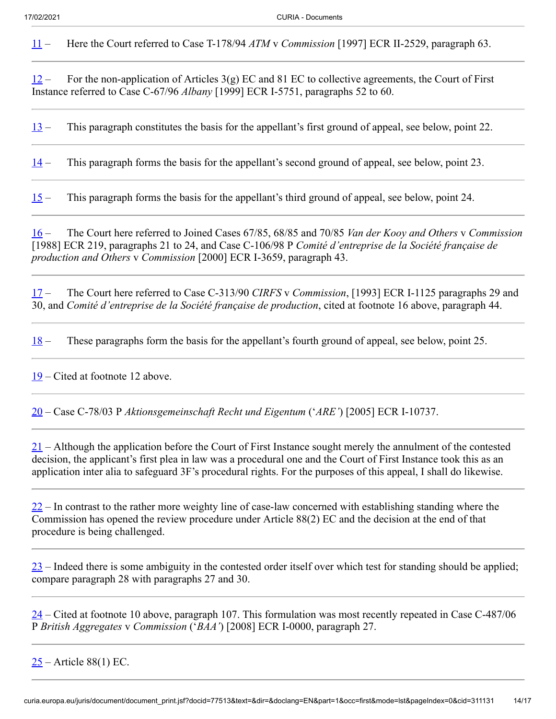<span id="page-13-0"></span>[11](#page-2-2) – Here the Court referred to Case T-178/94 *ATM* v *Commission* [1997] ECR II‑2529, paragraph 63.

<span id="page-13-1"></span> $12 12 -$  For the non-application of Articles 3(g) EC and 81 EC to collective agreements, the Court of First Instance referred to Case C‑67/96 *Albany* [1999] ECR I‑5751, paragraphs 52 to 60.

<span id="page-13-2"></span> $13$  – This paragraph constitutes the basis for the appellant's first ground of appeal, see below, point 22.

<span id="page-13-3"></span> $14 14 -$  This paragraph forms the basis for the appellant's second ground of appeal, see below, point 23.

<span id="page-13-4"></span>[15](#page-3-3) – This paragraph forms the basis for the appellant's third ground of appeal, see below, point 24.

<span id="page-13-5"></span>[16](#page-3-4) – The Court here referred to Joined Cases 67/85, 68/85 and 70/85 *Van der Kooy and Others* v *Commission* [1988] ECR 219, paragraphs 21 to 24, and Case C‑106/98 P *Comité d'entreprise de la Société française de production and Others* v *Commission* [2000] ECR I‑3659, paragraph 43.

<span id="page-13-6"></span>[17](#page-3-5) – The Court here referred to Case C‑313/90 *CIRFS* v *Commission*, [1993] ECR I-1125 paragraphs 29 and 30, and *Comité d'entreprise de la Société française de production*, cited at footnote 16 above, paragraph 44.

<span id="page-13-7"></span>[18](#page-3-6) – These paragraphs form the basis for the appellant's fourth ground of appeal, see below, point 25.

<span id="page-13-8"></span>[19](#page-3-7) – Cited at footnote 12 above.

<span id="page-13-9"></span>[20](#page-4-0) – Case C‑78/03 P *Aktionsgemeinschaft Recht und Eigentum* ('*ARE'*) [2005] ECR I‑10737.

<span id="page-13-10"></span>[21](#page-4-1) – Although the application before the Court of First Instance sought merely the annulment of the contested decision, the applicant's first plea in law was a procedural one and the Court of First Instance took this as an application inter alia to safeguard 3F's procedural rights. For the purposes of this appeal, I shall do likewise.

<span id="page-13-11"></span> $22 22 -$  In contrast to the rather more weighty line of case-law concerned with establishing standing where the Commission has opened the review procedure under Article 88(2) EC and the decision at the end of that procedure is being challenged.

<span id="page-13-12"></span> $23$  – Indeed there is some ambiguity in the contested order itself over which test for standing should be applied; compare paragraph 28 with paragraphs 27 and 30.

<span id="page-13-13"></span> $24$  – Cited at footnote 10 above, paragraph 107. This formulation was most recently repeated in Case C-487/06 P *British Aggregates* v *Commission* ('*BAA'*) [2008] ECR I‑0000, paragraph 27.

<span id="page-13-14"></span> $25$  – Article 88(1) EC.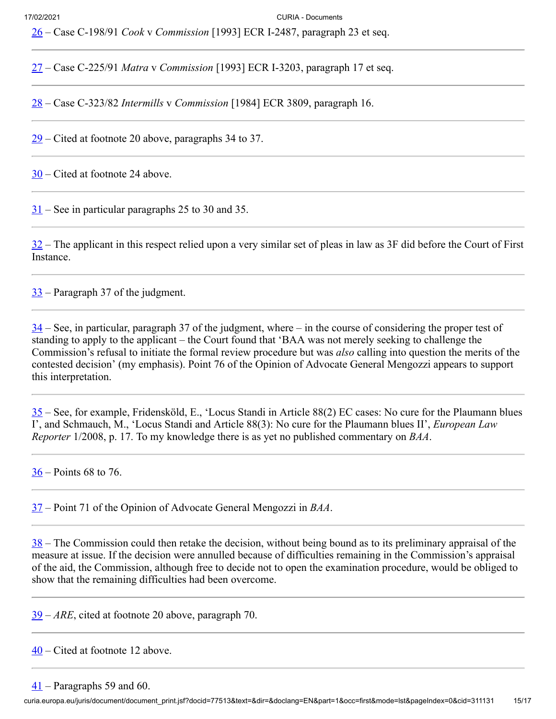<span id="page-14-0"></span>[26](#page-4-6) – Case C‑198/91 *Cook* v *Commission* [1993] ECR I‑2487, paragraph 23 et seq.

<span id="page-14-1"></span>[27](#page-4-7) – Case C‑225/91 *Matra* v *Commission* [1993] ECR I‑3203, paragraph 17 et seq.

<span id="page-14-2"></span>[28](#page-4-8) – Case C‑323/82 *Intermills* v *Commission* [1984] ECR 3809, paragraph 16.

<span id="page-14-3"></span> $\frac{29}{2}$  $\frac{29}{2}$  $\frac{29}{2}$  – Cited at footnote 20 above, paragraphs 34 to 37.

<span id="page-14-4"></span> $30$  – Cited at footnote 24 above.

<span id="page-14-5"></span> $31$  – See in particular paragraphs 25 to 30 and 35.

<span id="page-14-6"></span> $32$  – The applicant in this respect relied upon a very similar set of pleas in law as 3F did before the Court of First Instance.

<span id="page-14-7"></span> $33$  – Paragraph 37 of the judgment.

<span id="page-14-8"></span> $34$  – See, in particular, paragraph 37 of the judgment, where – in the course of considering the proper test of standing to apply to the applicant – the Court found that 'BAA was not merely seeking to challenge the Commission's refusal to initiate the formal review procedure but was *also* calling into question the merits of the contested decision' (my emphasis). Point 76 of the Opinion of Advocate General Mengozzi appears to support this interpretation.

<span id="page-14-9"></span> $35$  – See, for example, Fridensköld, E., 'Locus Standi in Article 88(2) EC cases: No cure for the Plaumann blues I', and Schmauch, M., 'Locus Standi and Article 88(3): No cure for the Plaumann blues II', *European Law Reporter* 1/2008, p. 17. To my knowledge there is as yet no published commentary on *BAA*.

<span id="page-14-10"></span>[36](#page-5-6) – Points 68 to 76.

<span id="page-14-11"></span>[37](#page-5-7) – Point 71 of the Opinion of Advocate General Mengozzi in *BAA*.

<span id="page-14-12"></span> $38$  – The Commission could then retake the decision, without being bound as to its preliminary appraisal of the measure at issue. If the decision were annulled because of difficulties remaining in the Commission's appraisal of the aid, the Commission, although free to decide not to open the examination procedure, would be obliged to show that the remaining difficulties had been overcome.

<span id="page-14-13"></span>[39](#page-6-0) – *ARE*, cited at footnote 20 above, paragraph 70.

<span id="page-14-15"></span><span id="page-14-14"></span> $\frac{40}{}$  $\frac{40}{}$  $\frac{40}{}$  – Cited at footnote 12 above.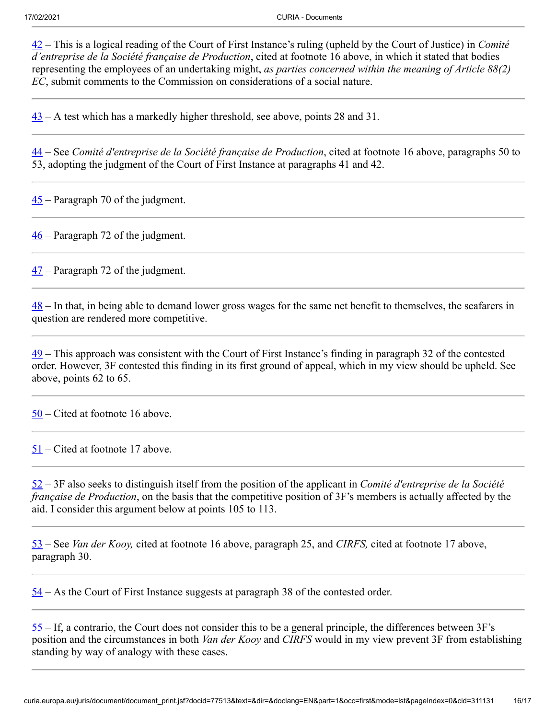<span id="page-15-0"></span>[42](#page-8-0) – This is a logical reading of the Court of First Instance's ruling (upheld by the Court of Justice) in *Comité d'entreprise de la Société française de Production*, cited at footnote 16 above, in which it stated that bodies representing the employees of an undertaking might, *as parties concerned within the meaning of Article 88(2) EC*, submit comments to the Commission on considerations of a social nature.

<span id="page-15-1"></span> $43 - A$  $43 - A$  test which has a markedly higher threshold, see above, points 28 and 31.

<span id="page-15-2"></span>[44](#page-8-2) – See *Comité d'entreprise de la Société française de Production*, cited at footnote 16 above, paragraphs 50 to 53, adopting the judgment of the Court of First Instance at paragraphs 41 and 42.

<span id="page-15-3"></span> $\frac{45}{10}$  $\frac{45}{10}$  $\frac{45}{10}$  – Paragraph 70 of the judgment.

<span id="page-15-4"></span> $\frac{46}{10}$  $\frac{46}{10}$  $\frac{46}{10}$  – Paragraph 72 of the judgment.

<span id="page-15-5"></span> $\frac{47}{1}$  $\frac{47}{1}$  $\frac{47}{1}$  – Paragraph 72 of the judgment.

<span id="page-15-6"></span> $\frac{48}{10}$  $\frac{48}{10}$  $\frac{48}{10}$  – In that, in being able to demand lower gross wages for the same net benefit to themselves, the seafarers in question are rendered more competitive.

<span id="page-15-7"></span>[49](#page-9-1) – This approach was consistent with the Court of First Instance's finding in paragraph 32 of the contested order. However, 3F contested this finding in its first ground of appeal, which in my view should be upheld. See above, points 62 to 65.

<span id="page-15-8"></span>[50](#page-9-2) – Cited at footnote 16 above.

<span id="page-15-9"></span>[51](#page-9-3) – Cited at footnote 17 above.

<span id="page-15-10"></span>[52](#page-9-4) – 3F also seeks to distinguish itself from the position of the applicant in *Comité d'entreprise de la Société française de Production*, on the basis that the competitive position of 3F's members is actually affected by the aid. I consider this argument below at points 105 to 113.

<span id="page-15-11"></span>[53](#page-10-0) – See *Van der Kooy,* cited at footnote 16 above, paragraph 25, and *CIRFS,* cited at footnote 17 above, paragraph 30.

<span id="page-15-12"></span> $54 - As$  $54 - As$  the Court of First Instance suggests at paragraph 38 of the contested order.

<span id="page-15-13"></span> $55 55 -$  If, a contrario, the Court does not consider this to be a general principle, the differences between  $3F$ 's position and the circumstances in both *Van der Kooy* and *CIRFS* would in my view prevent 3F from establishing standing by way of analogy with these cases.